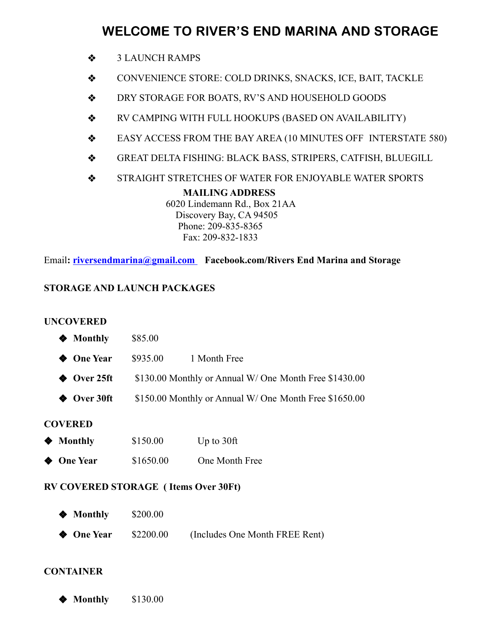# WELCOME TO RIVER'S END MARINA AND STORAGE

- ❖ 3 LAUNCH RAMPS
- ❖ CONVENIENCE STORE: COLD DRINKS, SNACKS, ICE, BAIT, TACKLE
- ❖ DRY STORAGE FOR BOATS, RV'S AND HOUSEHOLD GOODS
- ❖ RV CAMPING WITH FULL HOOKUPS (BASED ON AVAILABILITY)
- ❖ EASY ACCESS FROM THE BAY AREA (10 MINUTES OFF INTERSTATE 580)
- ❖ GREAT DELTA FISHING: BLACK BASS, STRIPERS, CATFISH, BLUEGILL
- ❖ STRAIGHT STRETCHES OF WATER FOR ENJOYABLE WATER SPORTS

#### **MAILING ADDRESS**

6020 Lindemann Rd., Box 21AA Discovery Bay, CA 94505 Phone: 209-835-8365 Fax: 209-832-1833

Email**: riversendmarina@gmail.com Facebook.com/Rivers End Marina and Storage**

## **STORAGE AND LAUNCH PACKAGES**

### **UNCOVERED**

| ❤                  | <b>Monthly</b>  | \$85.00                                                |                |  |
|--------------------|-----------------|--------------------------------------------------------|----------------|--|
| ◈                  | <b>One Year</b> | \$935.00                                               | 1 Month Free   |  |
| ◈                  | Over 25ft       | \$130.00 Monthly or Annual W/ One Month Free \$1430.00 |                |  |
| $\hat{\mathbf{z}}$ | Over 30ft       | \$150.00 Monthly or Annual W/ One Month Free \$1650.00 |                |  |
| <b>COVERED</b>     |                 |                                                        |                |  |
| ◈                  | <b>Monthly</b>  | \$150.00                                               | Up to $30$ ft  |  |
| ◈                  | <b>One Year</b> | \$1650.00                                              | One Month Free |  |

### **RV COVERED STORAGE ( Items Over 30Ft)**

- ◆ **Monthly** \$200.00
- ◆ **One Year** \$2200.00 (Includes One Month FREE Rent)

### **CONTAINER**

◆ **Monthly** \$130.00